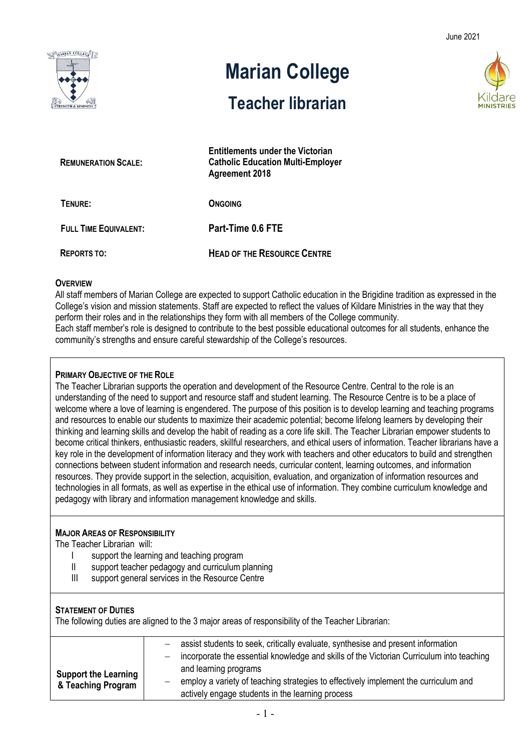June 2021



# **Marian College**

# **Teacher librarian**

**Entitlements under the Victorian** 



| <b>REMUNERATION SCALE:</b>   | Elititienienis under the Victorian<br><b>Catholic Education Multi-Employer</b><br><b>Agreement 2018</b> |  |
|------------------------------|---------------------------------------------------------------------------------------------------------|--|
| TENURE:                      | <b>ONGOING</b>                                                                                          |  |
| <b>FULL TIME EQUIVALENT:</b> | Part-Time 0.6 FTE                                                                                       |  |
| <b>REPORTS TO:</b>           | <b>HEAD OF THE RESOURCE CENTRE</b>                                                                      |  |

#### **OVERVIEW**

All staff members of Marian College are expected to support Catholic education in the Brigidine tradition as expressed in the College's vision and mission statements. Staff are expected to reflect the values of Kildare Ministries in the way that they perform their roles and in the relationships they form with all members of the College community. Each staff member's role is designed to contribute to the best possible educational outcomes for all students, enhance the community's strengths and ensure careful stewardship of the College's resources.

### **PRIMARY OBJECTIVE OF THE ROLE**

The Teacher Librarian supports the operation and development of the Resource Centre. Central to the role is an understanding of the need to support and resource staff and student learning. The Resource Centre is to be a place of welcome where a love of learning is engendered. The purpose of this position is to develop learning and teaching programs and resources to enable our students to maximize their academic potential; become lifelong learners by developing their thinking and learning skills and develop the habit of reading as a core life skill. The Teacher Librarian empower students to become critical thinkers, enthusiastic readers, skillful researchers, and ethical users of information. Teacher librarians have a key role in the development of information literacy and they work with teachers and other educators to build and strengthen connections between student information and research needs, curricular content, learning outcomes, and information resources. They provide support in the selection, acquisition, evaluation, and organization of information resources and technologies in all formats, as well as expertise in the ethical use of information. They combine curriculum knowledge and pedagogy with library and information management knowledge and skills.

# **MAJOR AREAS OF RESPONSIBILITY**

The Teacher Librarian will:

- I support the learning and teaching program
- II support teacher pedagogy and curriculum planning
- III support general services in the Resource Centre

# **STATEMENT OF DUTIES**

The following duties are aligned to the 3 major areas of responsibility of the Teacher Librarian:

|                                                   | assist students to seek, critically evaluate, synthesise and present information         |
|---------------------------------------------------|------------------------------------------------------------------------------------------|
|                                                   |                                                                                          |
|                                                   | incorporate the essential knowledge and skills of the Victorian Curriculum into teaching |
| <b>Support the Learning</b><br>& Teaching Program | and learning programs                                                                    |
|                                                   | employ a variety of teaching strategies to effectively implement the curriculum and      |
|                                                   | actively engage students in the learning process                                         |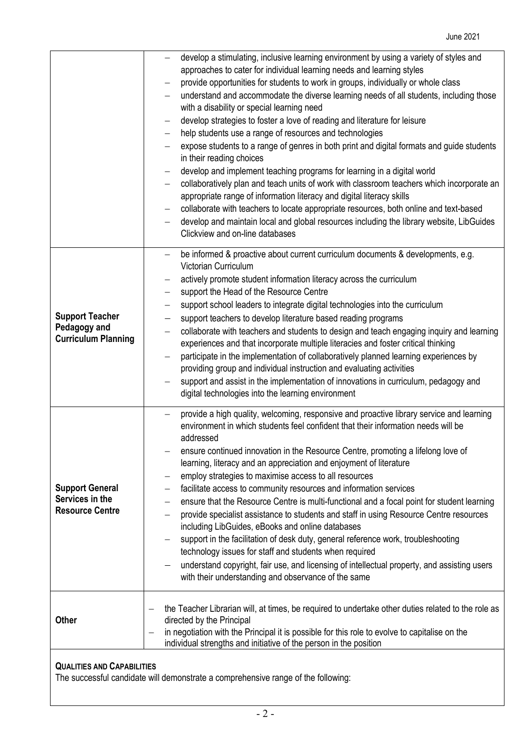|                                                                      | develop a stimulating, inclusive learning environment by using a variety of styles and<br>approaches to cater for individual learning needs and learning styles<br>provide opportunities for students to work in groups, individually or whole class<br>understand and accommodate the diverse learning needs of all students, including those<br>with a disability or special learning need<br>develop strategies to foster a love of reading and literature for leisure<br>help students use a range of resources and technologies<br>expose students to a range of genres in both print and digital formats and guide students<br>in their reading choices<br>develop and implement teaching programs for learning in a digital world<br>collaboratively plan and teach units of work with classroom teachers which incorporate an<br>appropriate range of information literacy and digital literacy skills<br>collaborate with teachers to locate appropriate resources, both online and text-based<br>develop and maintain local and global resources including the library website, LibGuides<br>Clickview and on-line databases |  |  |
|----------------------------------------------------------------------|----------------------------------------------------------------------------------------------------------------------------------------------------------------------------------------------------------------------------------------------------------------------------------------------------------------------------------------------------------------------------------------------------------------------------------------------------------------------------------------------------------------------------------------------------------------------------------------------------------------------------------------------------------------------------------------------------------------------------------------------------------------------------------------------------------------------------------------------------------------------------------------------------------------------------------------------------------------------------------------------------------------------------------------------------------------------------------------------------------------------------------------|--|--|
| <b>Support Teacher</b><br>Pedagogy and<br><b>Curriculum Planning</b> | be informed & proactive about current curriculum documents & developments, e.g.<br><b>Victorian Curriculum</b><br>actively promote student information literacy across the curriculum<br>support the Head of the Resource Centre<br>$\overline{\phantom{m}}$<br>support school leaders to integrate digital technologies into the curriculum<br>support teachers to develop literature based reading programs<br>collaborate with teachers and students to design and teach engaging inquiry and learning<br>experiences and that incorporate multiple literacies and foster critical thinking<br>participate in the implementation of collaboratively planned learning experiences by<br>providing group and individual instruction and evaluating activities<br>support and assist in the implementation of innovations in curriculum, pedagogy and<br>digital technologies into the learning environment                                                                                                                                                                                                                            |  |  |
| <b>Support General</b><br>Services in the<br><b>Resource Centre</b>  | provide a high quality, welcoming, responsive and proactive library service and learning<br>environment in which students feel confident that their information needs will be<br>addressed<br>ensure continued innovation in the Resource Centre, promoting a lifelong love of<br>learning, literacy and an appreciation and enjoyment of literature<br>employ strategies to maximise access to all resources<br>facilitate access to community resources and information services<br>ensure that the Resource Centre is multi-functional and a focal point for student learning<br>provide specialist assistance to students and staff in using Resource Centre resources<br>including LibGuides, eBooks and online databases<br>support in the facilitation of desk duty, general reference work, troubleshooting<br>technology issues for staff and students when required<br>understand copyright, fair use, and licensing of intellectual property, and assisting users<br>with their understanding and observance of the same                                                                                                    |  |  |
| <b>Other</b>                                                         | the Teacher Librarian will, at times, be required to undertake other duties related to the role as<br>directed by the Principal<br>in negotiation with the Principal it is possible for this role to evolve to capitalise on the<br>—<br>individual strengths and initiative of the person in the position                                                                                                                                                                                                                                                                                                                                                                                                                                                                                                                                                                                                                                                                                                                                                                                                                             |  |  |
| <b>QUALITIES AND CAPABILITIES</b>                                    |                                                                                                                                                                                                                                                                                                                                                                                                                                                                                                                                                                                                                                                                                                                                                                                                                                                                                                                                                                                                                                                                                                                                        |  |  |

The successful candidate will demonstrate a comprehensive range of the following: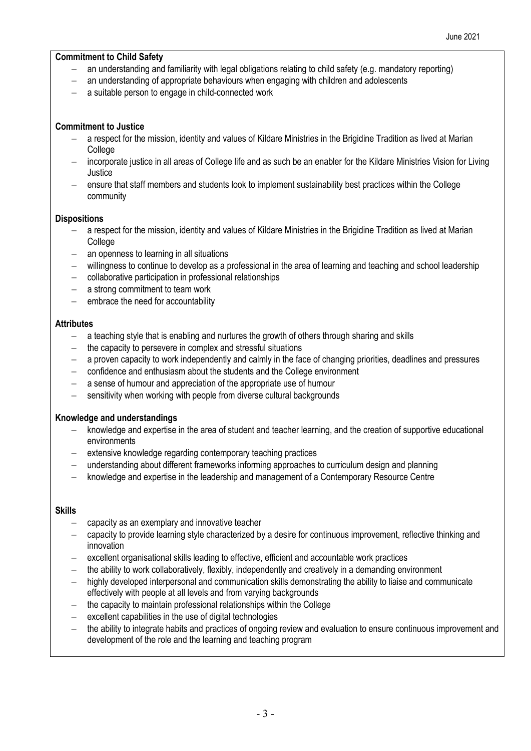#### **Commitment to Child Safety**

- an understanding and familiarity with legal obligations relating to child safety (e.g. mandatory reporting)
- an understanding of appropriate behaviours when engaging with children and adolescents
- a suitable person to engage in child-connected work

#### **Commitment to Justice**

- − a respect for the mission, identity and values of Kildare Ministries in the Brigidine Tradition as lived at Marian **College**
- − incorporate justice in all areas of College life and as such be an enabler for the Kildare Ministries Vision for Living Justice
- − ensure that staff members and students look to implement sustainability best practices within the College community

#### **Dispositions**

- − a respect for the mission, identity and values of Kildare Ministries in the Brigidine Tradition as lived at Marian College
- an openness to learning in all situations
- − willingness to continue to develop as a professional in the area of learning and teaching and school leadership
- − collaborative participation in professional relationships
- − a strong commitment to team work
- − embrace the need for accountability

# **Attributes**

- − a teaching style that is enabling and nurtures the growth of others through sharing and skills
- − the capacity to persevere in complex and stressful situations
- − a proven capacity to work independently and calmly in the face of changing priorities, deadlines and pressures
- − confidence and enthusiasm about the students and the College environment
- − a sense of humour and appreciation of the appropriate use of humour
- sensitivity when working with people from diverse cultural backgrounds

# **Knowledge and understandings**

- knowledge and expertise in the area of student and teacher learning, and the creation of supportive educational environments
- − extensive knowledge regarding contemporary teaching practices
- − understanding about different frameworks informing approaches to curriculum design and planning
- − knowledge and expertise in the leadership and management of a Contemporary Resource Centre

#### **Skills**

- − capacity as an exemplary and innovative teacher
- − capacity to provide learning style characterized by a desire for continuous improvement, reflective thinking and innovation
- − excellent organisational skills leading to effective, efficient and accountable work practices
- the ability to work collaboratively, flexibly, independently and creatively in a demanding environment
- highly developed interpersonal and communication skills demonstrating the ability to liaise and communicate effectively with people at all levels and from varying backgrounds
- the capacity to maintain professional relationships within the College
- excellent capabilities in the use of digital technologies
- the ability to integrate habits and practices of ongoing review and evaluation to ensure continuous improvement and development of the role and the learning and teaching program